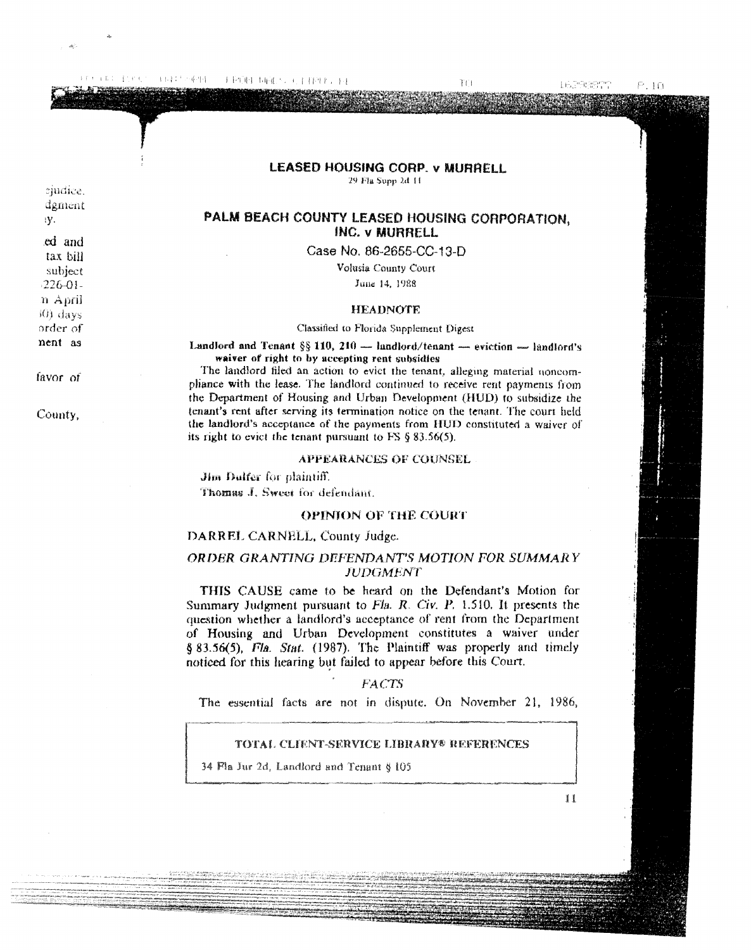FRINT DECS CITERIALS 4444万平野

 $P.10$ 

## LEASED HOUSING CORP. v MURRELL

29 Fla Supp 2d 11

# PALM BEACH COUNTY LEASED HOUSING CORPORATION, **INC. v MURRELL**

Case No. 86-2655-CC-13-D

Volusia County Court

June 14, 1988

#### **HEADNOTE**

### Classified to Florida Supplement Digest

Landford and Tenant §§ 110, 210 - landford/tenant - eviction - landford's waiver of right to by accepting rent subsidies

The landford filed an action to evict the tenant, alleging material noncompliance with the lease. The landlord continued to receive rent payments from the Department of Housing and Urban Development (HUD) to subsidize the tenant's rent after serving its termination notice on the tenant. The court held the landlord's acceptance of the payments from HUD constituted a waiver of its right to evict the tenant pursuant to FS  $\S$  83.56(5).

#### **APPEARANCES OF COUNSEL**

Jim Dulfer for plaintiff. Thomas J. Sweet for defendant.

## **OPINION OF THE COURT**

### DARREL CARNELL, County Judge.

## ORDER GRANTING DEFENDANT'S MOTION FOR SUMMARY **JUDGMENT**

THIS CAUSE came to be heard on the Defendant's Motion for Summary Judgment pursuant to  $F1a$ . R. Civ. P. 1.510. It presents the question whether a landlord's acceptance of rent from the Department of Housing and Urban Development constitutes a waiver under § 83.56(5), Fla. Stat. (1987). The Plaintiff was properly and timely noticed for this hearing but failed to appear before this Court.

### **FACTS**

The essential facts are not in dispute. On November 21, 1986,

### TOTAL CLIENT-SERVICE LIBRARY® REFERENCES

34 Fla Jur 2d, Landlord and Tenant § 105

11

favor of

sjudice. dgment

ed and

tax bill

subject

 $-226 - 01$ n April

(0) days order of

nent as

iV.

County,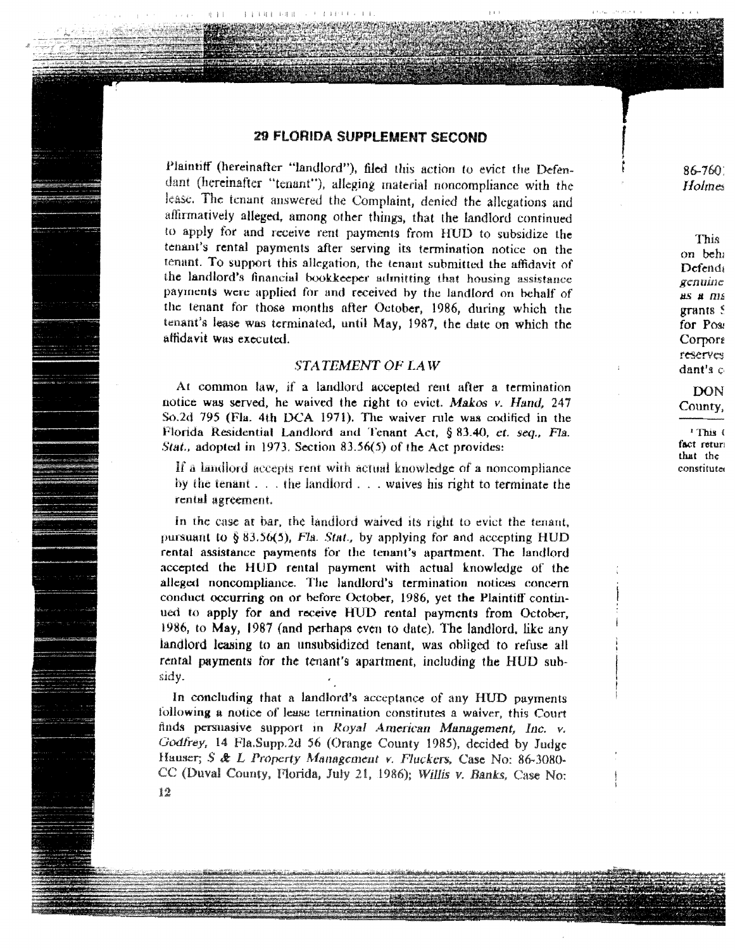# 29 FLORIDA SUPPLEMENT SECOND

11381348

Plaintiff (hereinafter "landlord"), filed this action to evict the Defendant (hereinafter "tenant"), alleging material noncompliance with the lease. The tenant answered the Complaint, denied the allegations and affirmatively alleged, among other things, that the landlord continued to apply for and receive rent payments from HUD to subsidize the tenant's rental payments after serving its termination notice on the tenant. To support this allegation, the tenant submitted the affidavit of the landlord's financial bookkeeper admitting that housing assistance payments were applied for and received by the landlord on behalf of the tenant for those months after October, 1986, during which the tenant's lease was terminated, until May, 1987, the date on which the affidavit was executed.

## **STATEMENT OF LAW**

At common law, if a landlord accepted rent after a termination notice was served, he waived the right to evict. Makos v. Hand, 247 So.2d 795 (Fla. 4th DCA 1971). The waiver rule was codified in the Florida Residential Landlord and Tenant Act, § 83.40, et. seq., Fla. Stat., adopted in 1973. Section 83.56(5) of the Act provides:

If a landlord accepts rent with actual knowledge of a noncompliance by the tenant . . . the landford . . . waives his right to terminate the rental agreement.

In the case at bar, the landford waived its right to evict the tenant, pursuant to  $\S$  83.56(5), Fla. Stat., by applying for and accepting HUD rental assistance payments for the tenant's apartment. The landlord accepted the HUD rental payment with actual knowledge of the alleged noncompliance. The landlord's termination notices concern conduct occurring on or before October, 1986, yet the Plaintiff continued to apply for and receive HUD rental payments from October, 1986, to May, 1987 (and perhaps even to date). The landlord, like any landlord leasing to an unsubsidized tenant, was obliged to refuse all rental payments for the tenant's apartment, including the HUD subsidy.

In concluding that a landlord's acceptance of any HUD payments following a notice of lease termination constitutes a waiver, this Court finds persuasive support in Royal American Management, Inc. v. Godfrey, 14 Fla.Supp.2d 56 (Orange County 1985), decided by Judge Hauser; S & L Property Management v. Fluckers, Case No: 86-3080-CC (Duval County, Florida, July 21, 1986); Willis v. Banks, Case No:

86-7601 Holmes

This on beh Defendi genuine **AS A NIS**  $grants$   $\epsilon$ for Post Corpore reserves dant's  $\epsilon$ 

DON County,

<sup>1</sup> This ( fact retur that the constitute